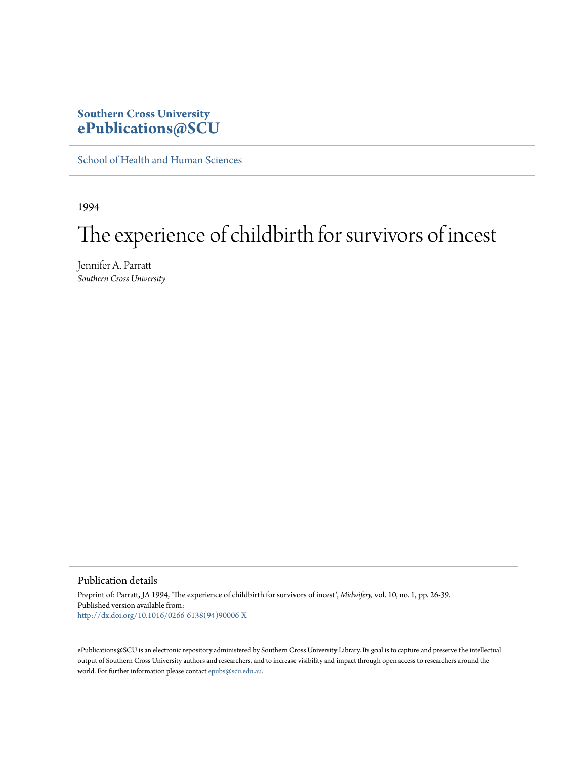### **Southern Cross University [ePublications@SCU](http://epubs.scu.edu.au)**

[School of Health and Human Sciences](http://epubs.scu.edu.au/hahs_pubs)

1994

# The experience of childbirth for survivors of incest

Jennifer A. Parratt *Southern Cross University*

Publication details

Preprint of: Parratt, JA 1994, 'The experience of childbirth for survivors of incest', *Midwifery,* vol. 10, no. 1, pp. 26-39. Published version available from: [http://dx.doi.org/10.1016/0266-6138\(94\)90006-X](http://dx.doi.org/10.1016/0266-6138%2894%2990006-X)

ePublications@SCU is an electronic repository administered by Southern Cross University Library. Its goal is to capture and preserve the intellectual output of Southern Cross University authors and researchers, and to increase visibility and impact through open access to researchers around the world. For further information please contact [epubs@scu.edu.au](mailto:epubs@scu.edu.au).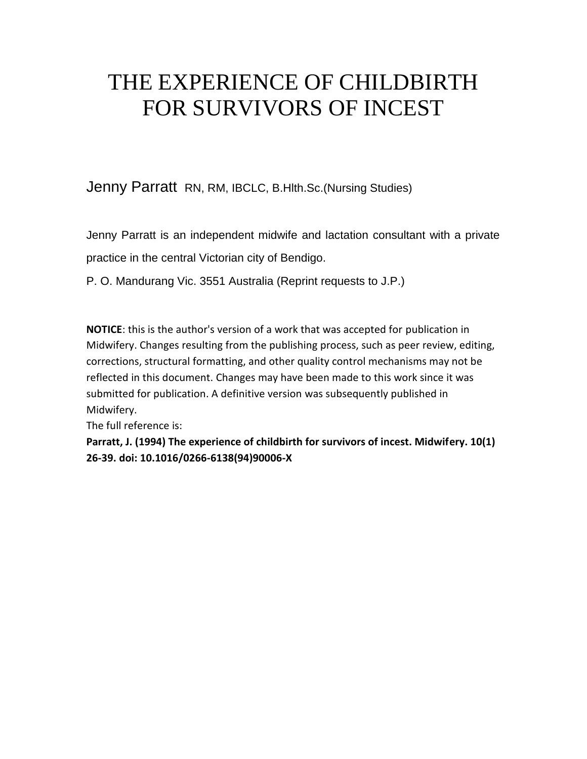# THE EXPERIENCE OF CHILDBIRTH FOR SURVIVORS OF INCEST

Jenny Parratt RN, RM, IBCLC, B.Hlth.Sc.(Nursing Studies)

Jenny Parratt is an independent midwife and lactation consultant with a private practice in the central Victorian city of Bendigo.

P. O. Mandurang Vic. 3551 Australia (Reprint requests to J.P.)

**NOTICE**: this is the author's version of a work that was accepted for publication in Midwifery. Changes resulting from the publishing process, such as peer review, editing, corrections, structural formatting, and other quality control mechanisms may not be reflected in this document. Changes may have been made to this work since it was submitted for publication. A definitive version was subsequently published in Midwifery.

The full reference is:

**Parratt, J. (1994) The experience of childbirth for survivors of incest. Midwifery. 10(1) 26-39. doi: 10.1016/0266-6138(94)90006-X**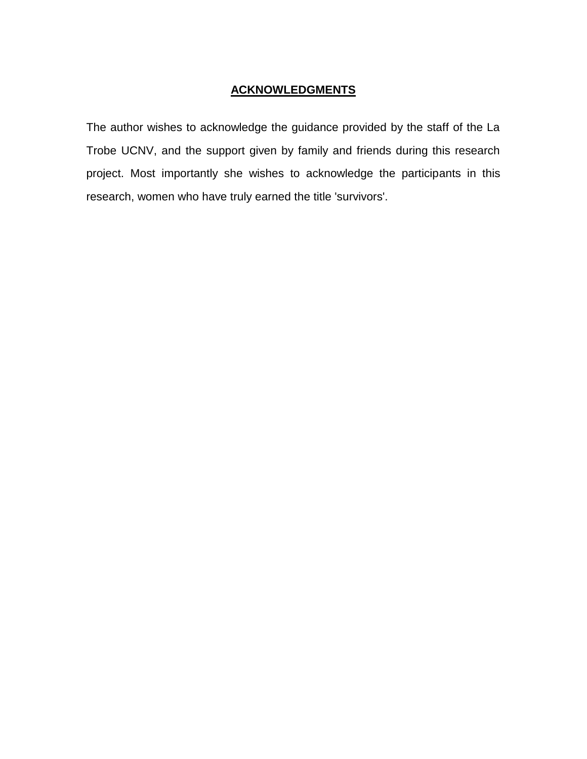### **ACKNOWLEDGMENTS**

The author wishes to acknowledge the guidance provided by the staff of the La Trobe UCNV, and the support given by family and friends during this research project. Most importantly she wishes to acknowledge the participants in this research, women who have truly earned the title 'survivors'.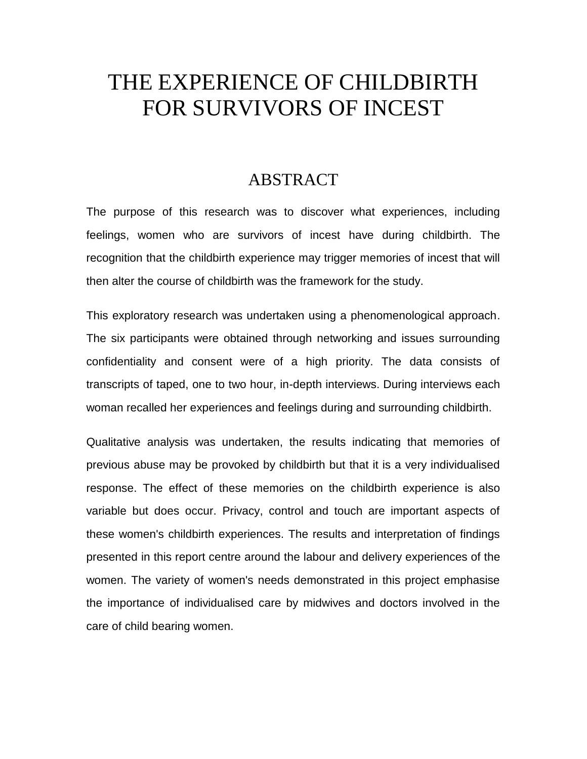# THE EXPERIENCE OF CHILDBIRTH FOR SURVIVORS OF INCEST

## ABSTRACT

The purpose of this research was to discover what experiences, including feelings, women who are survivors of incest have during childbirth. The recognition that the childbirth experience may trigger memories of incest that will then alter the course of childbirth was the framework for the study.

This exploratory research was undertaken using a phenomenological approach. The six participants were obtained through networking and issues surrounding confidentiality and consent were of a high priority. The data consists of transcripts of taped, one to two hour, in-depth interviews. During interviews each woman recalled her experiences and feelings during and surrounding childbirth.

Qualitative analysis was undertaken, the results indicating that memories of previous abuse may be provoked by childbirth but that it is a very individualised response. The effect of these memories on the childbirth experience is also variable but does occur. Privacy, control and touch are important aspects of these women's childbirth experiences. The results and interpretation of findings presented in this report centre around the labour and delivery experiences of the women. The variety of women's needs demonstrated in this project emphasise the importance of individualised care by midwives and doctors involved in the care of child bearing women.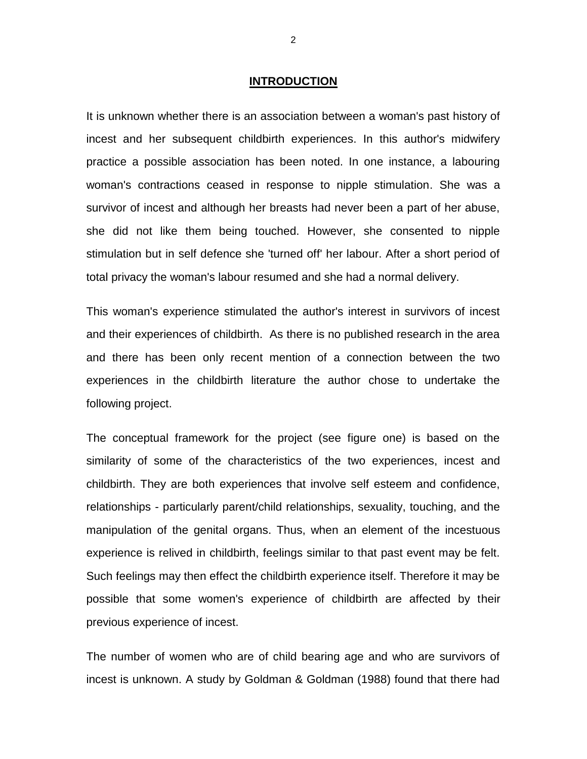#### **INTRODUCTION**

It is unknown whether there is an association between a woman's past history of incest and her subsequent childbirth experiences. In this author's midwifery practice a possible association has been noted. In one instance, a labouring woman's contractions ceased in response to nipple stimulation. She was a survivor of incest and although her breasts had never been a part of her abuse, she did not like them being touched. However, she consented to nipple stimulation but in self defence she 'turned off' her labour. After a short period of total privacy the woman's labour resumed and she had a normal delivery.

This woman's experience stimulated the author's interest in survivors of incest and their experiences of childbirth. As there is no published research in the area and there has been only recent mention of a connection between the two experiences in the childbirth literature the author chose to undertake the following project.

The conceptual framework for the project (see figure one) is based on the similarity of some of the characteristics of the two experiences, incest and childbirth. They are both experiences that involve self esteem and confidence, relationships - particularly parent/child relationships, sexuality, touching, and the manipulation of the genital organs. Thus, when an element of the incestuous experience is relived in childbirth, feelings similar to that past event may be felt. Such feelings may then effect the childbirth experience itself. Therefore it may be possible that some women's experience of childbirth are affected by their previous experience of incest.

The number of women who are of child bearing age and who are survivors of incest is unknown. A study by Goldman & Goldman (1988) found that there had

2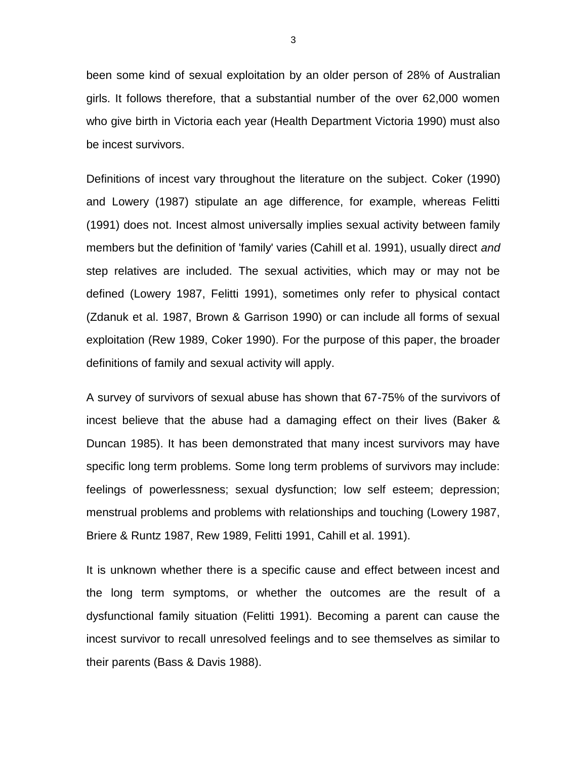been some kind of sexual exploitation by an older person of 28% of Australian girls. It follows therefore, that a substantial number of the over 62,000 women who give birth in Victoria each year (Health Department Victoria 1990) must also be incest survivors.

Definitions of incest vary throughout the literature on the subject. Coker (1990) and Lowery (1987) stipulate an age difference, for example, whereas Felitti (1991) does not. Incest almost universally implies sexual activity between family members but the definition of 'family' varies (Cahill et al. 1991), usually direct *and* step relatives are included. The sexual activities, which may or may not be defined (Lowery 1987, Felitti 1991), sometimes only refer to physical contact (Zdanuk et al. 1987, Brown & Garrison 1990) or can include all forms of sexual exploitation (Rew 1989, Coker 1990). For the purpose of this paper, the broader definitions of family and sexual activity will apply.

A survey of survivors of sexual abuse has shown that 67-75% of the survivors of incest believe that the abuse had a damaging effect on their lives (Baker & Duncan 1985). It has been demonstrated that many incest survivors may have specific long term problems. Some long term problems of survivors may include: feelings of powerlessness; sexual dysfunction; low self esteem; depression; menstrual problems and problems with relationships and touching (Lowery 1987, Briere & Runtz 1987, Rew 1989, Felitti 1991, Cahill et al. 1991).

It is unknown whether there is a specific cause and effect between incest and the long term symptoms, or whether the outcomes are the result of a dysfunctional family situation (Felitti 1991). Becoming a parent can cause the incest survivor to recall unresolved feelings and to see themselves as similar to their parents (Bass & Davis 1988).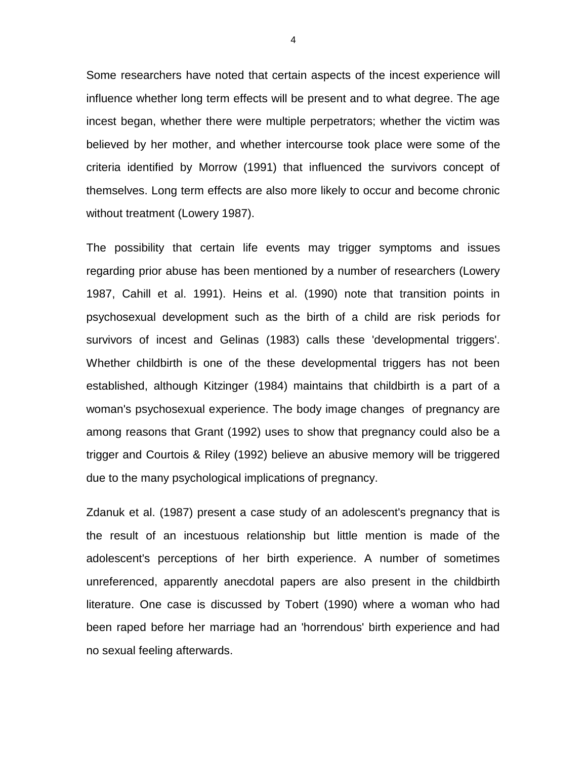Some researchers have noted that certain aspects of the incest experience will influence whether long term effects will be present and to what degree. The age incest began, whether there were multiple perpetrators; whether the victim was believed by her mother, and whether intercourse took place were some of the criteria identified by Morrow (1991) that influenced the survivors concept of themselves. Long term effects are also more likely to occur and become chronic without treatment (Lowery 1987).

The possibility that certain life events may trigger symptoms and issues regarding prior abuse has been mentioned by a number of researchers (Lowery 1987, Cahill et al. 1991). Heins et al. (1990) note that transition points in psychosexual development such as the birth of a child are risk periods for survivors of incest and Gelinas (1983) calls these 'developmental triggers'. Whether childbirth is one of the these developmental triggers has not been established, although Kitzinger (1984) maintains that childbirth is a part of a woman's psychosexual experience. The body image changes of pregnancy are among reasons that Grant (1992) uses to show that pregnancy could also be a trigger and Courtois & Riley (1992) believe an abusive memory will be triggered due to the many psychological implications of pregnancy.

Zdanuk et al. (1987) present a case study of an adolescent's pregnancy that is the result of an incestuous relationship but little mention is made of the adolescent's perceptions of her birth experience. A number of sometimes unreferenced, apparently anecdotal papers are also present in the childbirth literature. One case is discussed by Tobert (1990) where a woman who had been raped before her marriage had an 'horrendous' birth experience and had no sexual feeling afterwards.

4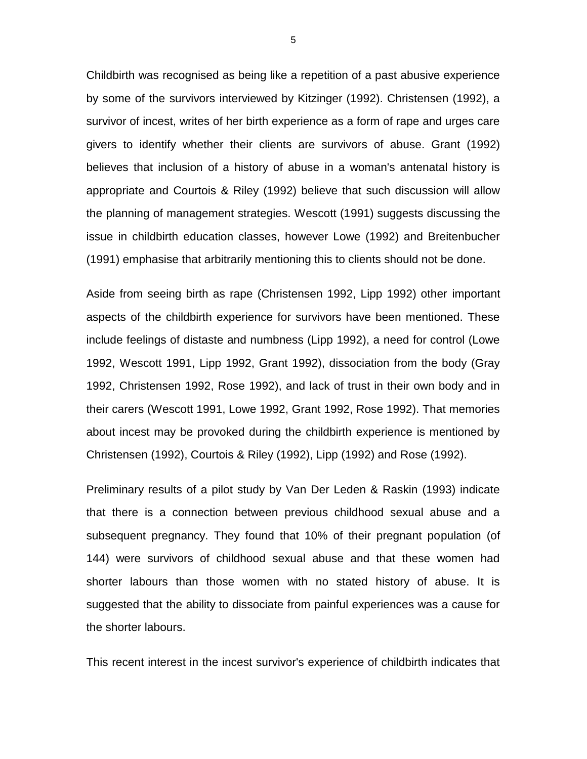Childbirth was recognised as being like a repetition of a past abusive experience by some of the survivors interviewed by Kitzinger (1992). Christensen (1992), a survivor of incest, writes of her birth experience as a form of rape and urges care givers to identify whether their clients are survivors of abuse. Grant (1992) believes that inclusion of a history of abuse in a woman's antenatal history is appropriate and Courtois & Riley (1992) believe that such discussion will allow the planning of management strategies. Wescott (1991) suggests discussing the issue in childbirth education classes, however Lowe (1992) and Breitenbucher (1991) emphasise that arbitrarily mentioning this to clients should not be done.

Aside from seeing birth as rape (Christensen 1992, Lipp 1992) other important aspects of the childbirth experience for survivors have been mentioned. These include feelings of distaste and numbness (Lipp 1992), a need for control (Lowe 1992, Wescott 1991, Lipp 1992, Grant 1992), dissociation from the body (Gray 1992, Christensen 1992, Rose 1992), and lack of trust in their own body and in their carers (Wescott 1991, Lowe 1992, Grant 1992, Rose 1992). That memories about incest may be provoked during the childbirth experience is mentioned by Christensen (1992), Courtois & Riley (1992), Lipp (1992) and Rose (1992).

Preliminary results of a pilot study by Van Der Leden & Raskin (1993) indicate that there is a connection between previous childhood sexual abuse and a subsequent pregnancy. They found that 10% of their pregnant population (of 144) were survivors of childhood sexual abuse and that these women had shorter labours than those women with no stated history of abuse. It is suggested that the ability to dissociate from painful experiences was a cause for the shorter labours.

This recent interest in the incest survivor's experience of childbirth indicates that

5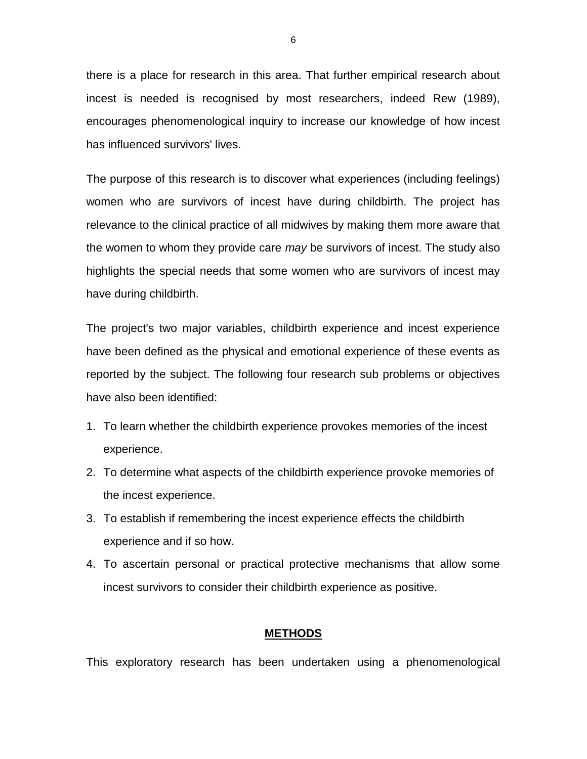there is a place for research in this area. That further empirical research about incest is needed is recognised by most researchers, indeed Rew (1989), encourages phenomenological inquiry to increase our knowledge of how incest has influenced survivors' lives.

The purpose of this research is to discover what experiences (including feelings) women who are survivors of incest have during childbirth. The project has relevance to the clinical practice of all midwives by making them more aware that the women to whom they provide care *may* be survivors of incest. The study also highlights the special needs that some women who are survivors of incest may have during childbirth.

The project's two major variables, childbirth experience and incest experience have been defined as the physical and emotional experience of these events as reported by the subject. The following four research sub problems or objectives have also been identified:

- 1. To learn whether the childbirth experience provokes memories of the incest experience.
- 2. To determine what aspects of the childbirth experience provoke memories of the incest experience.
- 3. To establish if remembering the incest experience effects the childbirth experience and if so how.
- 4. To ascertain personal or practical protective mechanisms that allow some incest survivors to consider their childbirth experience as positive.

### **METHODS**

This exploratory research has been undertaken using a phenomenological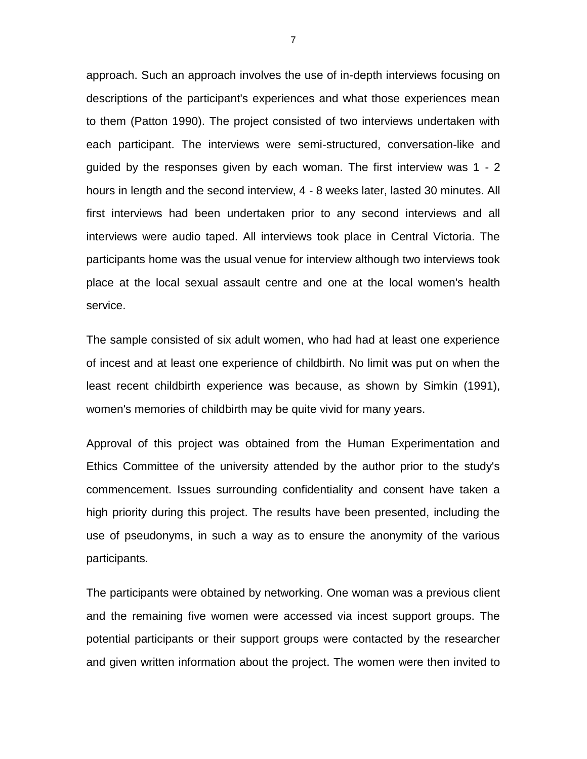approach. Such an approach involves the use of in-depth interviews focusing on descriptions of the participant's experiences and what those experiences mean to them (Patton 1990). The project consisted of two interviews undertaken with each participant. The interviews were semi-structured, conversation-like and guided by the responses given by each woman. The first interview was 1 - 2 hours in length and the second interview, 4 - 8 weeks later, lasted 30 minutes. All first interviews had been undertaken prior to any second interviews and all interviews were audio taped. All interviews took place in Central Victoria. The participants home was the usual venue for interview although two interviews took place at the local sexual assault centre and one at the local women's health service.

The sample consisted of six adult women, who had had at least one experience of incest and at least one experience of childbirth. No limit was put on when the least recent childbirth experience was because, as shown by Simkin (1991), women's memories of childbirth may be quite vivid for many years.

Approval of this project was obtained from the Human Experimentation and Ethics Committee of the university attended by the author prior to the study's commencement. Issues surrounding confidentiality and consent have taken a high priority during this project. The results have been presented, including the use of pseudonyms, in such a way as to ensure the anonymity of the various participants.

The participants were obtained by networking. One woman was a previous client and the remaining five women were accessed via incest support groups. The potential participants or their support groups were contacted by the researcher and given written information about the project. The women were then invited to

7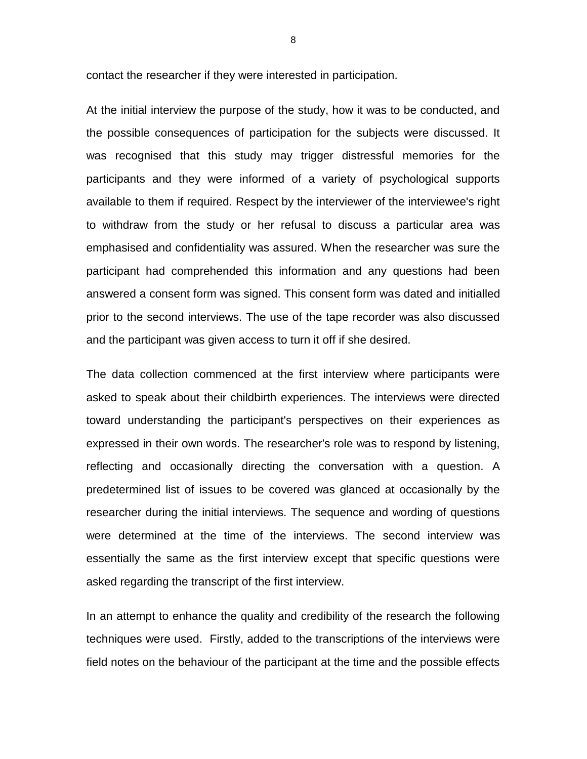contact the researcher if they were interested in participation.

At the initial interview the purpose of the study, how it was to be conducted, and the possible consequences of participation for the subjects were discussed. It was recognised that this study may trigger distressful memories for the participants and they were informed of a variety of psychological supports available to them if required. Respect by the interviewer of the interviewee's right to withdraw from the study or her refusal to discuss a particular area was emphasised and confidentiality was assured. When the researcher was sure the participant had comprehended this information and any questions had been answered a consent form was signed. This consent form was dated and initialled prior to the second interviews. The use of the tape recorder was also discussed and the participant was given access to turn it off if she desired.

The data collection commenced at the first interview where participants were asked to speak about their childbirth experiences. The interviews were directed toward understanding the participant's perspectives on their experiences as expressed in their own words. The researcher's role was to respond by listening, reflecting and occasionally directing the conversation with a question. A predetermined list of issues to be covered was glanced at occasionally by the researcher during the initial interviews. The sequence and wording of questions were determined at the time of the interviews. The second interview was essentially the same as the first interview except that specific questions were asked regarding the transcript of the first interview.

In an attempt to enhance the quality and credibility of the research the following techniques were used. Firstly, added to the transcriptions of the interviews were field notes on the behaviour of the participant at the time and the possible effects

8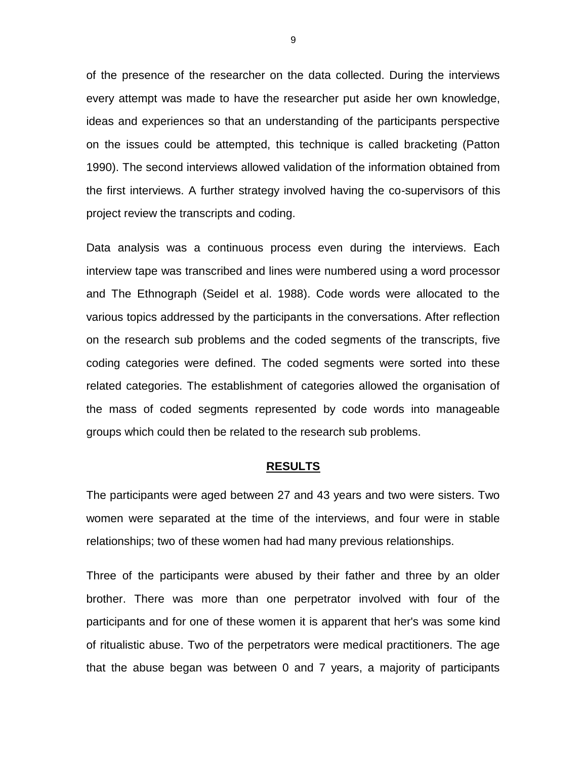of the presence of the researcher on the data collected. During the interviews every attempt was made to have the researcher put aside her own knowledge, ideas and experiences so that an understanding of the participants perspective on the issues could be attempted, this technique is called bracketing (Patton 1990). The second interviews allowed validation of the information obtained from the first interviews. A further strategy involved having the co-supervisors of this project review the transcripts and coding.

Data analysis was a continuous process even during the interviews. Each interview tape was transcribed and lines were numbered using a word processor and The Ethnograph (Seidel et al. 1988). Code words were allocated to the various topics addressed by the participants in the conversations. After reflection on the research sub problems and the coded segments of the transcripts, five coding categories were defined. The coded segments were sorted into these related categories. The establishment of categories allowed the organisation of the mass of coded segments represented by code words into manageable groups which could then be related to the research sub problems.

#### **RESULTS**

The participants were aged between 27 and 43 years and two were sisters. Two women were separated at the time of the interviews, and four were in stable relationships; two of these women had had many previous relationships.

Three of the participants were abused by their father and three by an older brother. There was more than one perpetrator involved with four of the participants and for one of these women it is apparent that her's was some kind of ritualistic abuse. Two of the perpetrators were medical practitioners. The age that the abuse began was between 0 and 7 years, a majority of participants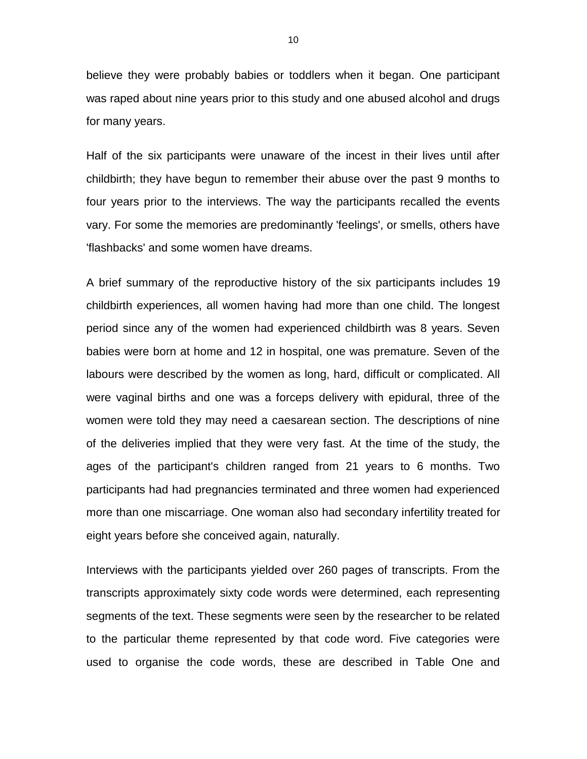believe they were probably babies or toddlers when it began. One participant was raped about nine years prior to this study and one abused alcohol and drugs for many years.

Half of the six participants were unaware of the incest in their lives until after childbirth; they have begun to remember their abuse over the past 9 months to four years prior to the interviews. The way the participants recalled the events vary. For some the memories are predominantly 'feelings', or smells, others have 'flashbacks' and some women have dreams.

A brief summary of the reproductive history of the six participants includes 19 childbirth experiences, all women having had more than one child. The longest period since any of the women had experienced childbirth was 8 years. Seven babies were born at home and 12 in hospital, one was premature. Seven of the labours were described by the women as long, hard, difficult or complicated. All were vaginal births and one was a forceps delivery with epidural, three of the women were told they may need a caesarean section. The descriptions of nine of the deliveries implied that they were very fast. At the time of the study, the ages of the participant's children ranged from 21 years to 6 months. Two participants had had pregnancies terminated and three women had experienced more than one miscarriage. One woman also had secondary infertility treated for eight years before she conceived again, naturally.

Interviews with the participants yielded over 260 pages of transcripts. From the transcripts approximately sixty code words were determined, each representing segments of the text. These segments were seen by the researcher to be related to the particular theme represented by that code word. Five categories were used to organise the code words, these are described in Table One and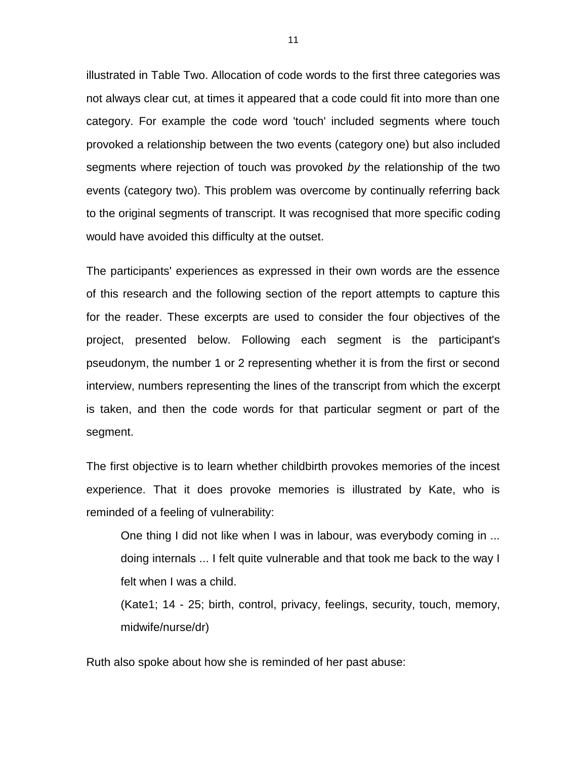illustrated in Table Two. Allocation of code words to the first three categories was not always clear cut, at times it appeared that a code could fit into more than one category. For example the code word 'touch' included segments where touch provoked a relationship between the two events (category one) but also included segments where rejection of touch was provoked *by* the relationship of the two events (category two). This problem was overcome by continually referring back to the original segments of transcript. It was recognised that more specific coding would have avoided this difficulty at the outset.

The participants' experiences as expressed in their own words are the essence of this research and the following section of the report attempts to capture this for the reader. These excerpts are used to consider the four objectives of the project, presented below. Following each segment is the participant's pseudonym, the number 1 or 2 representing whether it is from the first or second interview, numbers representing the lines of the transcript from which the excerpt is taken, and then the code words for that particular segment or part of the segment.

The first objective is to learn whether childbirth provokes memories of the incest experience. That it does provoke memories is illustrated by Kate, who is reminded of a feeling of vulnerability:

One thing I did not like when I was in labour, was everybody coming in ... doing internals ... I felt quite vulnerable and that took me back to the way I felt when I was a child.

(Kate1; 14 - 25; birth, control, privacy, feelings, security, touch, memory, midwife/nurse/dr)

Ruth also spoke about how she is reminded of her past abuse: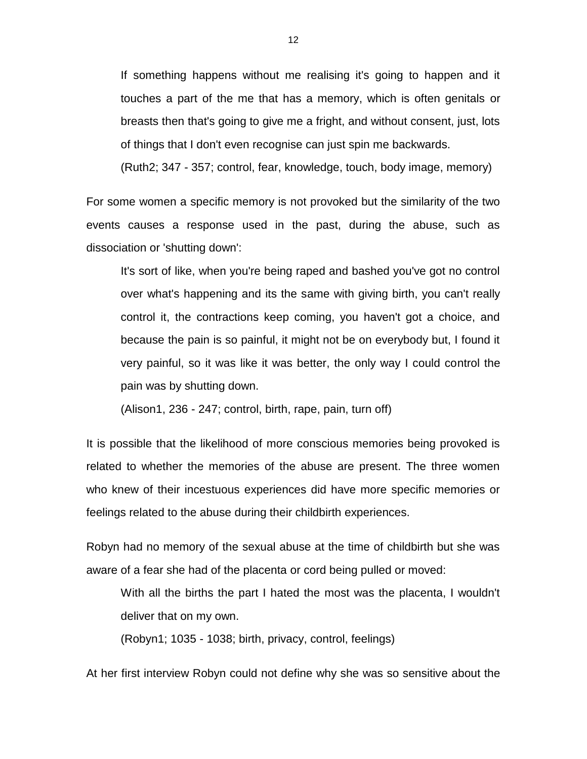If something happens without me realising it's going to happen and it touches a part of the me that has a memory, which is often genitals or breasts then that's going to give me a fright, and without consent, just, lots of things that I don't even recognise can just spin me backwards.

(Ruth2; 347 - 357; control, fear, knowledge, touch, body image, memory)

For some women a specific memory is not provoked but the similarity of the two events causes a response used in the past, during the abuse, such as dissociation or 'shutting down':

It's sort of like, when you're being raped and bashed you've got no control over what's happening and its the same with giving birth, you can't really control it, the contractions keep coming, you haven't got a choice, and because the pain is so painful, it might not be on everybody but, I found it very painful, so it was like it was better, the only way I could control the pain was by shutting down.

(Alison1, 236 - 247; control, birth, rape, pain, turn off)

It is possible that the likelihood of more conscious memories being provoked is related to whether the memories of the abuse are present. The three women who knew of their incestuous experiences did have more specific memories or feelings related to the abuse during their childbirth experiences.

Robyn had no memory of the sexual abuse at the time of childbirth but she was aware of a fear she had of the placenta or cord being pulled or moved:

With all the births the part I hated the most was the placenta, I wouldn't deliver that on my own.

(Robyn1; 1035 - 1038; birth, privacy, control, feelings)

At her first interview Robyn could not define why she was so sensitive about the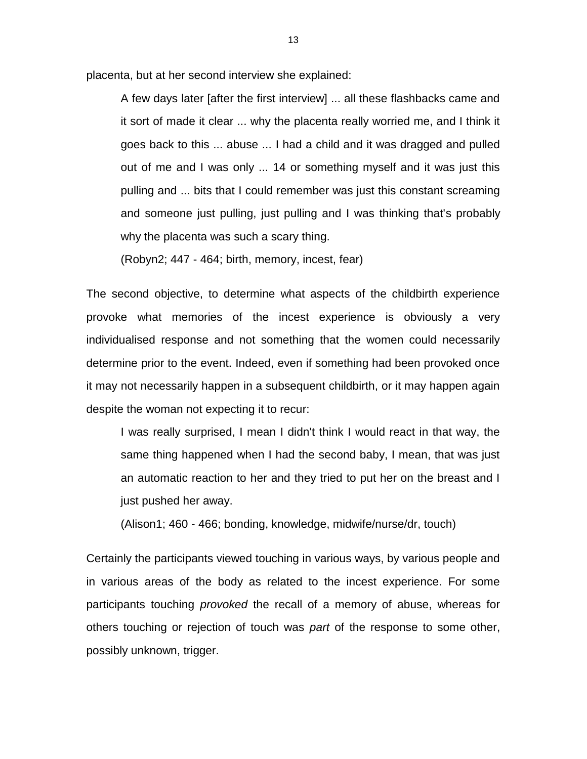placenta, but at her second interview she explained:

A few days later [after the first interview] ... all these flashbacks came and it sort of made it clear ... why the placenta really worried me, and I think it goes back to this ... abuse ... I had a child and it was dragged and pulled out of me and I was only ... 14 or something myself and it was just this pulling and ... bits that I could remember was just this constant screaming and someone just pulling, just pulling and I was thinking that's probably why the placenta was such a scary thing.

(Robyn2; 447 - 464; birth, memory, incest, fear)

The second objective, to determine what aspects of the childbirth experience provoke what memories of the incest experience is obviously a very individualised response and not something that the women could necessarily determine prior to the event. Indeed, even if something had been provoked once it may not necessarily happen in a subsequent childbirth, or it may happen again despite the woman not expecting it to recur:

I was really surprised, I mean I didn't think I would react in that way, the same thing happened when I had the second baby, I mean, that was just an automatic reaction to her and they tried to put her on the breast and I just pushed her away.

(Alison1; 460 - 466; bonding, knowledge, midwife/nurse/dr, touch)

Certainly the participants viewed touching in various ways, by various people and in various areas of the body as related to the incest experience. For some participants touching *provoked* the recall of a memory of abuse, whereas for others touching or rejection of touch was *part* of the response to some other, possibly unknown, trigger.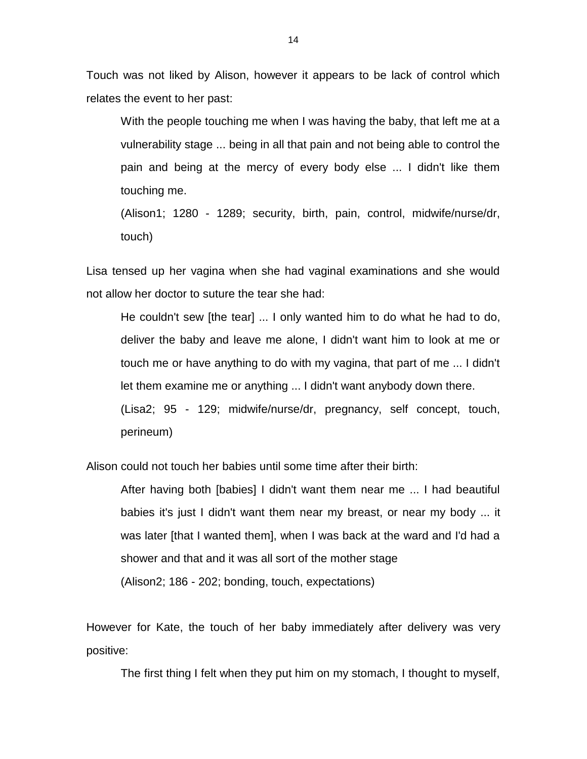Touch was not liked by Alison, however it appears to be lack of control which relates the event to her past:

With the people touching me when I was having the baby, that left me at a vulnerability stage ... being in all that pain and not being able to control the pain and being at the mercy of every body else ... I didn't like them touching me.

(Alison1; 1280 - 1289; security, birth, pain, control, midwife/nurse/dr, touch)

Lisa tensed up her vagina when she had vaginal examinations and she would not allow her doctor to suture the tear she had:

He couldn't sew [the tear] ... I only wanted him to do what he had to do, deliver the baby and leave me alone, I didn't want him to look at me or touch me or have anything to do with my vagina, that part of me ... I didn't let them examine me or anything ... I didn't want anybody down there. (Lisa2; 95 - 129; midwife/nurse/dr, pregnancy, self concept, touch, perineum)

Alison could not touch her babies until some time after their birth:

After having both [babies] I didn't want them near me ... I had beautiful babies it's just I didn't want them near my breast, or near my body ... it was later [that I wanted them], when I was back at the ward and I'd had a shower and that and it was all sort of the mother stage (Alison2; 186 - 202; bonding, touch, expectations)

However for Kate, the touch of her baby immediately after delivery was very positive:

The first thing I felt when they put him on my stomach, I thought to myself,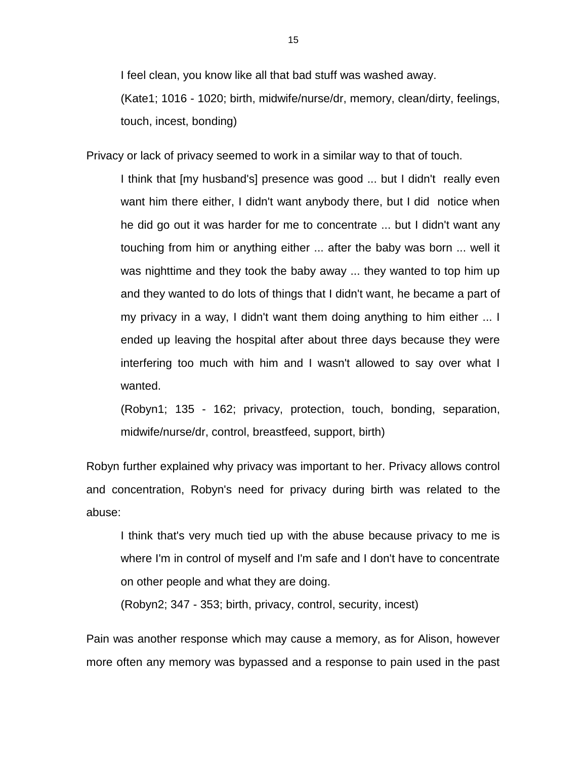I feel clean, you know like all that bad stuff was washed away.

(Kate1; 1016 - 1020; birth, midwife/nurse/dr, memory, clean/dirty, feelings, touch, incest, bonding)

Privacy or lack of privacy seemed to work in a similar way to that of touch.

I think that [my husband's] presence was good ... but I didn't really even want him there either, I didn't want anybody there, but I did notice when he did go out it was harder for me to concentrate ... but I didn't want any touching from him or anything either ... after the baby was born ... well it was nighttime and they took the baby away ... they wanted to top him up and they wanted to do lots of things that I didn't want, he became a part of my privacy in a way, I didn't want them doing anything to him either ... I ended up leaving the hospital after about three days because they were interfering too much with him and I wasn't allowed to say over what I wanted.

(Robyn1; 135 - 162; privacy, protection, touch, bonding, separation, midwife/nurse/dr, control, breastfeed, support, birth)

Robyn further explained why privacy was important to her. Privacy allows control and concentration, Robyn's need for privacy during birth was related to the abuse:

I think that's very much tied up with the abuse because privacy to me is where I'm in control of myself and I'm safe and I don't have to concentrate on other people and what they are doing.

(Robyn2; 347 - 353; birth, privacy, control, security, incest)

Pain was another response which may cause a memory, as for Alison, however more often any memory was bypassed and a response to pain used in the past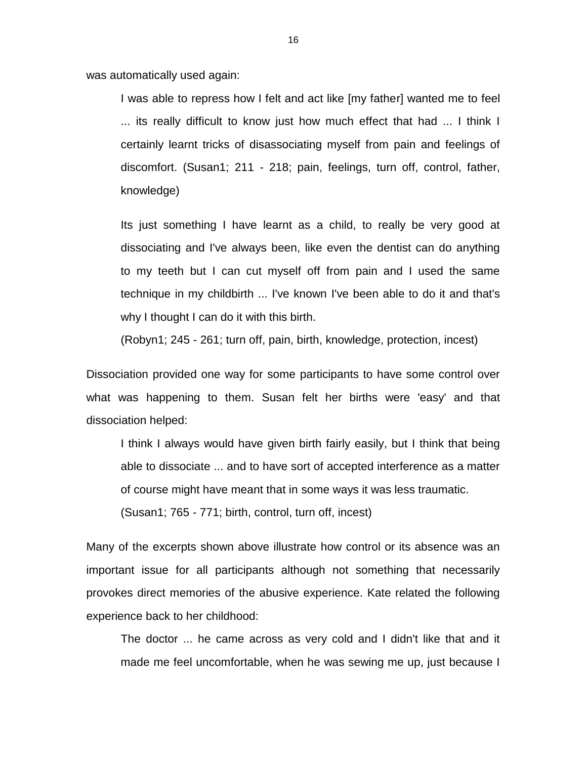was automatically used again:

I was able to repress how I felt and act like [my father] wanted me to feel ... its really difficult to know just how much effect that had ... I think I certainly learnt tricks of disassociating myself from pain and feelings of discomfort. (Susan1; 211 - 218; pain, feelings, turn off, control, father, knowledge)

Its just something I have learnt as a child, to really be very good at dissociating and I've always been, like even the dentist can do anything to my teeth but I can cut myself off from pain and I used the same technique in my childbirth ... I've known I've been able to do it and that's why I thought I can do it with this birth.

(Robyn1; 245 - 261; turn off, pain, birth, knowledge, protection, incest)

Dissociation provided one way for some participants to have some control over what was happening to them. Susan felt her births were 'easy' and that dissociation helped:

I think I always would have given birth fairly easily, but I think that being able to dissociate ... and to have sort of accepted interference as a matter of course might have meant that in some ways it was less traumatic.

(Susan1; 765 - 771; birth, control, turn off, incest)

Many of the excerpts shown above illustrate how control or its absence was an important issue for all participants although not something that necessarily provokes direct memories of the abusive experience. Kate related the following experience back to her childhood:

The doctor ... he came across as very cold and I didn't like that and it made me feel uncomfortable, when he was sewing me up, just because I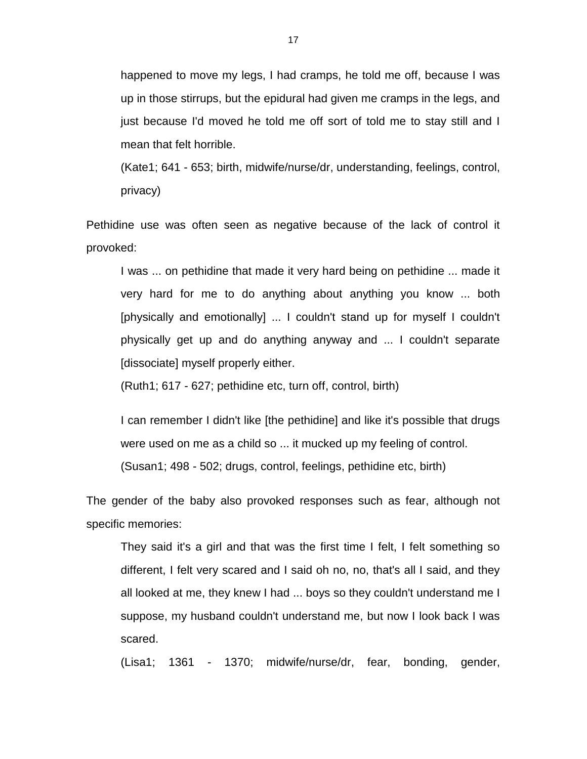happened to move my legs, I had cramps, he told me off, because I was up in those stirrups, but the epidural had given me cramps in the legs, and just because I'd moved he told me off sort of told me to stay still and I mean that felt horrible.

(Kate1; 641 - 653; birth, midwife/nurse/dr, understanding, feelings, control, privacy)

Pethidine use was often seen as negative because of the lack of control it provoked:

I was ... on pethidine that made it very hard being on pethidine ... made it very hard for me to do anything about anything you know ... both [physically and emotionally] ... I couldn't stand up for myself I couldn't physically get up and do anything anyway and ... I couldn't separate [dissociate] myself properly either.

(Ruth1; 617 - 627; pethidine etc, turn off, control, birth)

I can remember I didn't like [the pethidine] and like it's possible that drugs were used on me as a child so ... it mucked up my feeling of control. (Susan1; 498 - 502; drugs, control, feelings, pethidine etc, birth)

The gender of the baby also provoked responses such as fear, although not specific memories:

They said it's a girl and that was the first time I felt, I felt something so different, I felt very scared and I said oh no, no, that's all I said, and they all looked at me, they knew I had ... boys so they couldn't understand me I suppose, my husband couldn't understand me, but now I look back I was scared.

(Lisa1; 1361 - 1370; midwife/nurse/dr, fear, bonding, gender,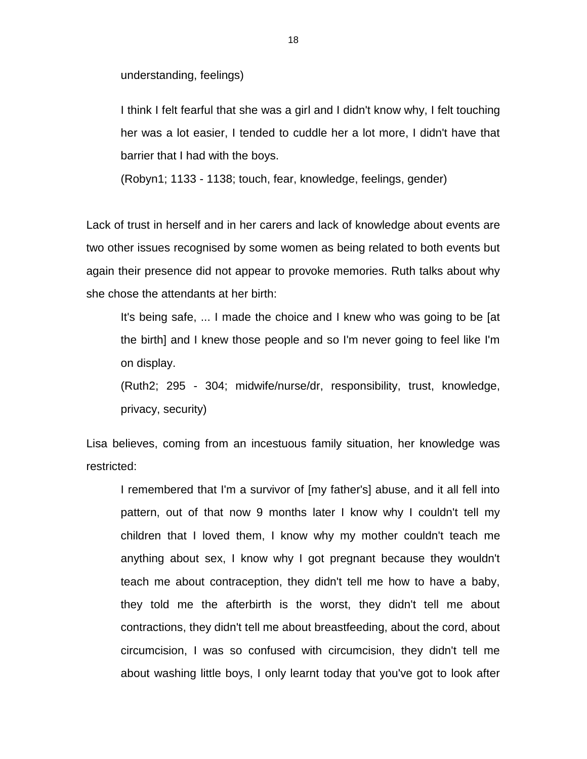understanding, feelings)

I think I felt fearful that she was a girl and I didn't know why, I felt touching her was a lot easier, I tended to cuddle her a lot more, I didn't have that barrier that I had with the boys.

(Robyn1; 1133 - 1138; touch, fear, knowledge, feelings, gender)

Lack of trust in herself and in her carers and lack of knowledge about events are two other issues recognised by some women as being related to both events but again their presence did not appear to provoke memories. Ruth talks about why she chose the attendants at her birth:

It's being safe, ... I made the choice and I knew who was going to be [at the birth] and I knew those people and so I'm never going to feel like I'm on display.

(Ruth2; 295 - 304; midwife/nurse/dr, responsibility, trust, knowledge, privacy, security)

Lisa believes, coming from an incestuous family situation, her knowledge was restricted:

I remembered that I'm a survivor of [my father's] abuse, and it all fell into pattern, out of that now 9 months later I know why I couldn't tell my children that I loved them, I know why my mother couldn't teach me anything about sex, I know why I got pregnant because they wouldn't teach me about contraception, they didn't tell me how to have a baby, they told me the afterbirth is the worst, they didn't tell me about contractions, they didn't tell me about breastfeeding, about the cord, about circumcision, I was so confused with circumcision, they didn't tell me about washing little boys, I only learnt today that you've got to look after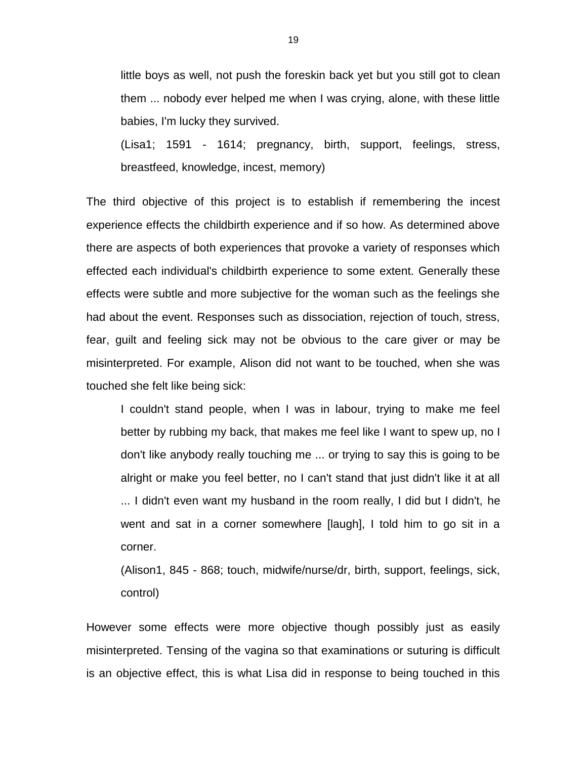little boys as well, not push the foreskin back yet but you still got to clean them ... nobody ever helped me when I was crying, alone, with these little babies, I'm lucky they survived.

(Lisa1; 1591 - 1614; pregnancy, birth, support, feelings, stress, breastfeed, knowledge, incest, memory)

The third objective of this project is to establish if remembering the incest experience effects the childbirth experience and if so how. As determined above there are aspects of both experiences that provoke a variety of responses which effected each individual's childbirth experience to some extent. Generally these effects were subtle and more subjective for the woman such as the feelings she had about the event. Responses such as dissociation, rejection of touch, stress, fear, guilt and feeling sick may not be obvious to the care giver or may be misinterpreted. For example, Alison did not want to be touched, when she was touched she felt like being sick:

I couldn't stand people, when I was in labour, trying to make me feel better by rubbing my back, that makes me feel like I want to spew up, no I don't like anybody really touching me ... or trying to say this is going to be alright or make you feel better, no I can't stand that just didn't like it at all ... I didn't even want my husband in the room really, I did but I didn't, he went and sat in a corner somewhere [laugh], I told him to go sit in a corner.

(Alison1, 845 - 868; touch, midwife/nurse/dr, birth, support, feelings, sick, control)

However some effects were more objective though possibly just as easily misinterpreted. Tensing of the vagina so that examinations or suturing is difficult is an objective effect, this is what Lisa did in response to being touched in this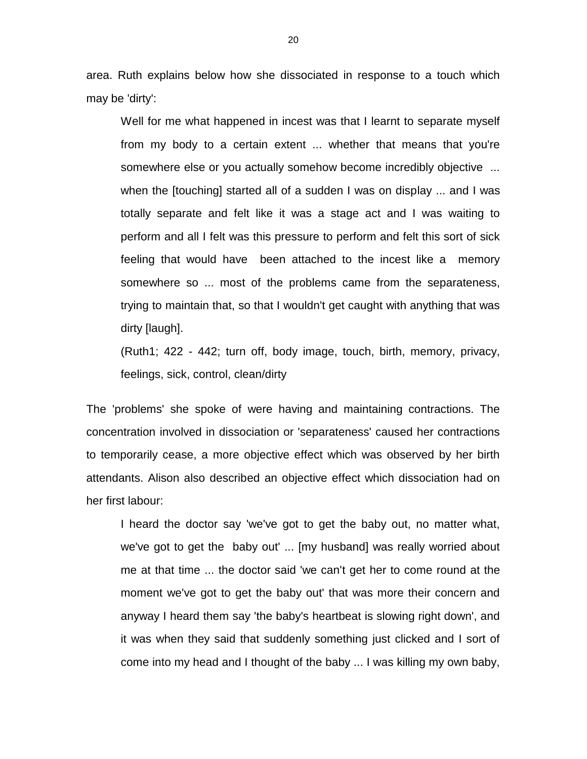area. Ruth explains below how she dissociated in response to a touch which may be 'dirty':

Well for me what happened in incest was that I learnt to separate myself from my body to a certain extent ... whether that means that you're somewhere else or you actually somehow become incredibly objective ... when the [touching] started all of a sudden I was on display ... and I was totally separate and felt like it was a stage act and I was waiting to perform and all I felt was this pressure to perform and felt this sort of sick feeling that would have been attached to the incest like a memory somewhere so ... most of the problems came from the separateness, trying to maintain that, so that I wouldn't get caught with anything that was dirty [laugh].

(Ruth1; 422 - 442; turn off, body image, touch, birth, memory, privacy, feelings, sick, control, clean/dirty

The 'problems' she spoke of were having and maintaining contractions. The concentration involved in dissociation or 'separateness' caused her contractions to temporarily cease, a more objective effect which was observed by her birth attendants. Alison also described an objective effect which dissociation had on her first labour:

I heard the doctor say 'we've got to get the baby out, no matter what, we've got to get the baby out' ... [my husband] was really worried about me at that time ... the doctor said 'we can't get her to come round at the moment we've got to get the baby out' that was more their concern and anyway I heard them say 'the baby's heartbeat is slowing right down', and it was when they said that suddenly something just clicked and I sort of come into my head and I thought of the baby ... I was killing my own baby,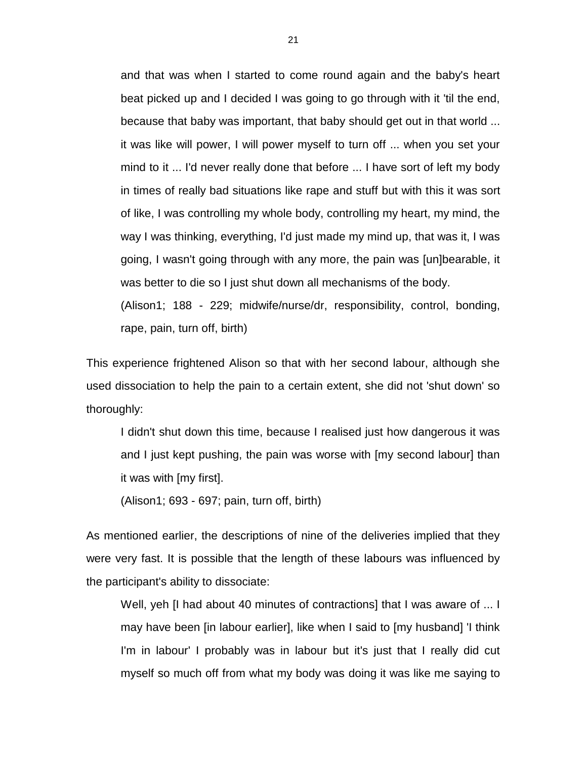and that was when I started to come round again and the baby's heart beat picked up and I decided I was going to go through with it 'til the end, because that baby was important, that baby should get out in that world ... it was like will power, I will power myself to turn off ... when you set your mind to it ... I'd never really done that before ... I have sort of left my body in times of really bad situations like rape and stuff but with this it was sort of like, I was controlling my whole body, controlling my heart, my mind, the way I was thinking, everything, I'd just made my mind up, that was it, I was going, I wasn't going through with any more, the pain was [un]bearable, it was better to die so I just shut down all mechanisms of the body.

(Alison1; 188 - 229; midwife/nurse/dr, responsibility, control, bonding, rape, pain, turn off, birth)

This experience frightened Alison so that with her second labour, although she used dissociation to help the pain to a certain extent, she did not 'shut down' so thoroughly:

I didn't shut down this time, because I realised just how dangerous it was and I just kept pushing, the pain was worse with [my second labour] than it was with [my first].

(Alison1; 693 - 697; pain, turn off, birth)

As mentioned earlier, the descriptions of nine of the deliveries implied that they were very fast. It is possible that the length of these labours was influenced by the participant's ability to dissociate:

Well, yeh [I had about 40 minutes of contractions] that I was aware of ... I may have been [in labour earlier], like when I said to [my husband] 'I think I'm in labour' I probably was in labour but it's just that I really did cut myself so much off from what my body was doing it was like me saying to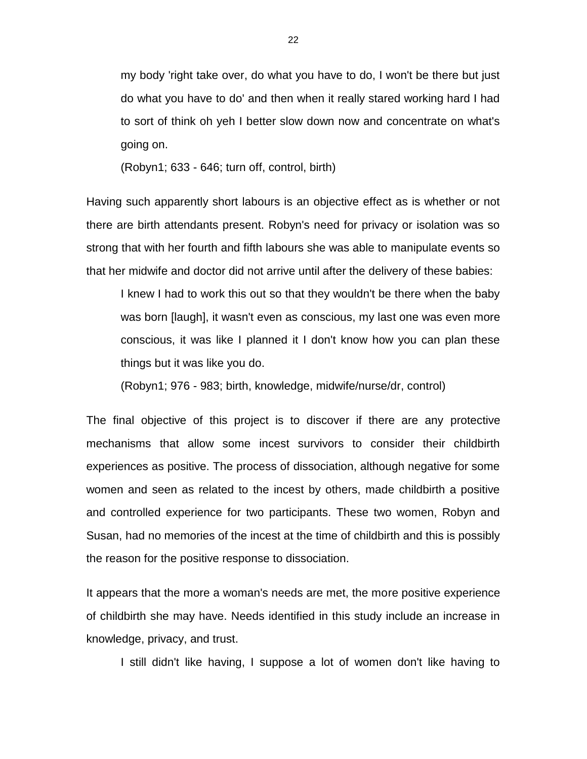my body 'right take over, do what you have to do, I won't be there but just do what you have to do' and then when it really stared working hard I had to sort of think oh yeh I better slow down now and concentrate on what's going on.

(Robyn1; 633 - 646; turn off, control, birth)

Having such apparently short labours is an objective effect as is whether or not there are birth attendants present. Robyn's need for privacy or isolation was so strong that with her fourth and fifth labours she was able to manipulate events so that her midwife and doctor did not arrive until after the delivery of these babies:

I knew I had to work this out so that they wouldn't be there when the baby was born [laugh], it wasn't even as conscious, my last one was even more conscious, it was like I planned it I don't know how you can plan these things but it was like you do.

(Robyn1; 976 - 983; birth, knowledge, midwife/nurse/dr, control)

The final objective of this project is to discover if there are any protective mechanisms that allow some incest survivors to consider their childbirth experiences as positive. The process of dissociation, although negative for some women and seen as related to the incest by others, made childbirth a positive and controlled experience for two participants. These two women, Robyn and Susan, had no memories of the incest at the time of childbirth and this is possibly the reason for the positive response to dissociation.

It appears that the more a woman's needs are met, the more positive experience of childbirth she may have. Needs identified in this study include an increase in knowledge, privacy, and trust.

I still didn't like having, I suppose a lot of women don't like having to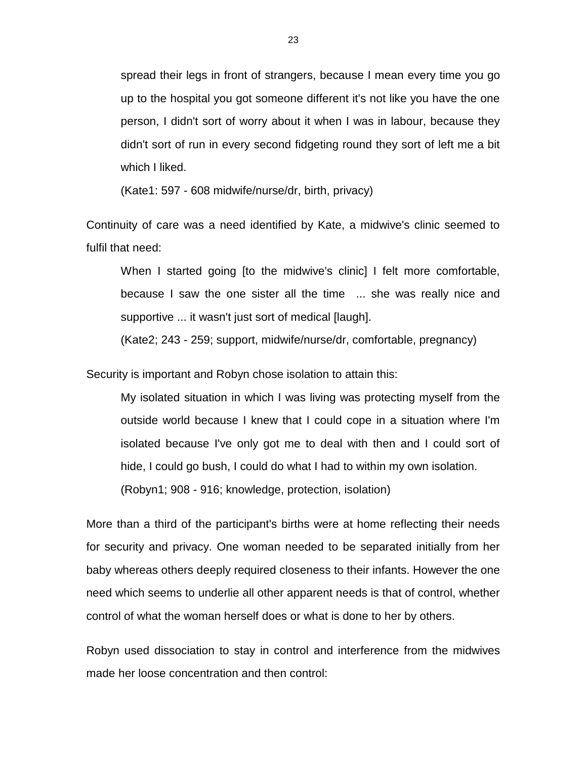spread their legs in front of strangers, because I mean every time you go up to the hospital you got someone different it's not like you have the one person, I didn't sort of worry about it when I was in labour, because they didn't sort of run in every second fidgeting round they sort of left me a bit which I liked.

(Kate1: 597 - 608 midwife/nurse/dr, birth, privacy)

Continuity of care was a need identified by Kate, a midwive's clinic seemed to fulfil that need:

When I started going [to the midwive's clinic] I felt more comfortable, because I saw the one sister all the time ... she was really nice and supportive ... it wasn't just sort of medical [laugh].

(Kate2; 243 - 259; support, midwife/nurse/dr, comfortable, pregnancy)

Security is important and Robyn chose isolation to attain this:

My isolated situation in which I was living was protecting myself from the outside world because I knew that I could cope in a situation where I'm isolated because I've only got me to deal with then and I could sort of hide, I could go bush, I could do what I had to within my own isolation. (Robyn1; 908 - 916; knowledge, protection, isolation)

More than a third of the participant's births were at home reflecting their needs for security and privacy. One woman needed to be separated initially from her baby whereas others deeply required closeness to their infants. However the one need which seems to underlie all other apparent needs is that of control, whether control of what the woman herself does or what is done to her by others.

Robyn used dissociation to stay in control and interference from the midwives made her loose concentration and then control: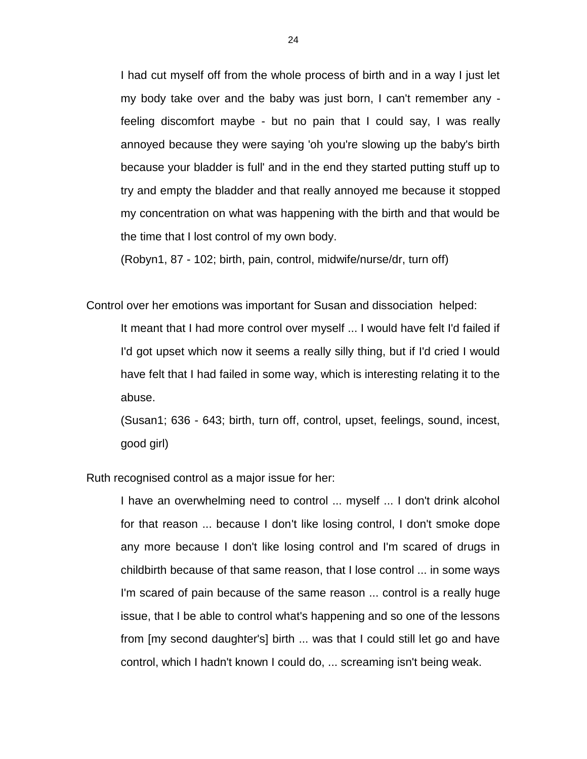I had cut myself off from the whole process of birth and in a way I just let my body take over and the baby was just born, I can't remember any feeling discomfort maybe - but no pain that I could say, I was really annoyed because they were saying 'oh you're slowing up the baby's birth because your bladder is full' and in the end they started putting stuff up to try and empty the bladder and that really annoyed me because it stopped my concentration on what was happening with the birth and that would be the time that I lost control of my own body.

(Robyn1, 87 - 102; birth, pain, control, midwife/nurse/dr, turn off)

Control over her emotions was important for Susan and dissociation helped:

It meant that I had more control over myself ... I would have felt I'd failed if I'd got upset which now it seems a really silly thing, but if I'd cried I would have felt that I had failed in some way, which is interesting relating it to the abuse.

(Susan1; 636 - 643; birth, turn off, control, upset, feelings, sound, incest, good girl)

Ruth recognised control as a major issue for her:

I have an overwhelming need to control ... myself ... I don't drink alcohol for that reason ... because I don't like losing control, I don't smoke dope any more because I don't like losing control and I'm scared of drugs in childbirth because of that same reason, that I lose control ... in some ways I'm scared of pain because of the same reason ... control is a really huge issue, that I be able to control what's happening and so one of the lessons from [my second daughter's] birth ... was that I could still let go and have control, which I hadn't known I could do, ... screaming isn't being weak.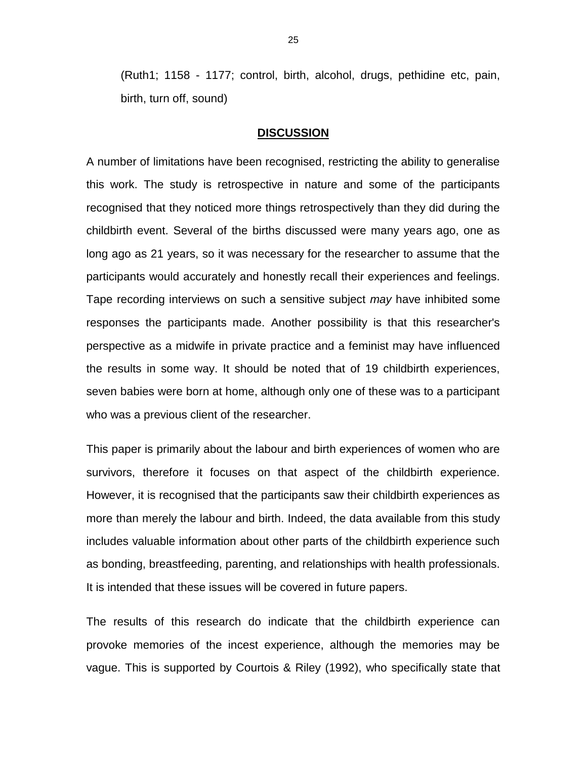(Ruth1; 1158 - 1177; control, birth, alcohol, drugs, pethidine etc, pain, birth, turn off, sound)

#### **DISCUSSION**

A number of limitations have been recognised, restricting the ability to generalise this work. The study is retrospective in nature and some of the participants recognised that they noticed more things retrospectively than they did during the childbirth event. Several of the births discussed were many years ago, one as long ago as 21 years, so it was necessary for the researcher to assume that the participants would accurately and honestly recall their experiences and feelings. Tape recording interviews on such a sensitive subject *may* have inhibited some responses the participants made. Another possibility is that this researcher's perspective as a midwife in private practice and a feminist may have influenced the results in some way. It should be noted that of 19 childbirth experiences, seven babies were born at home, although only one of these was to a participant who was a previous client of the researcher.

This paper is primarily about the labour and birth experiences of women who are survivors, therefore it focuses on that aspect of the childbirth experience. However, it is recognised that the participants saw their childbirth experiences as more than merely the labour and birth. Indeed, the data available from this study includes valuable information about other parts of the childbirth experience such as bonding, breastfeeding, parenting, and relationships with health professionals. It is intended that these issues will be covered in future papers.

The results of this research do indicate that the childbirth experience can provoke memories of the incest experience, although the memories may be vague. This is supported by Courtois & Riley (1992), who specifically state that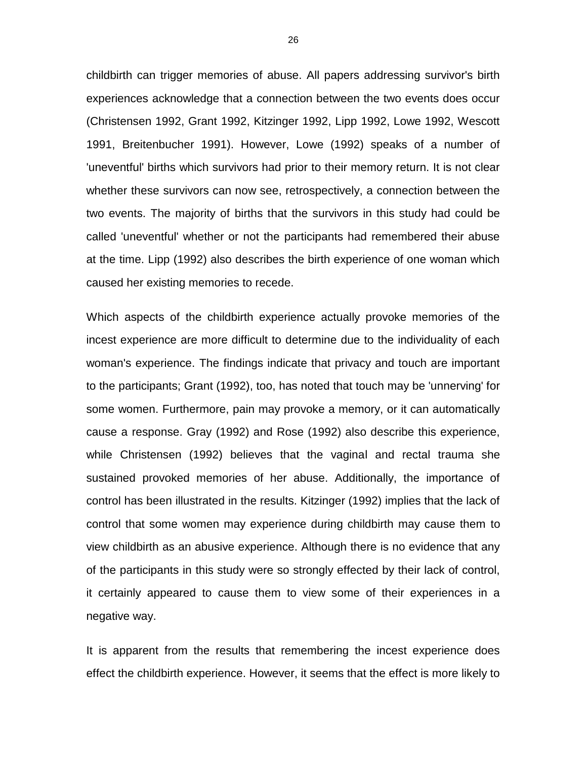childbirth can trigger memories of abuse. All papers addressing survivor's birth experiences acknowledge that a connection between the two events does occur (Christensen 1992, Grant 1992, Kitzinger 1992, Lipp 1992, Lowe 1992, Wescott 1991, Breitenbucher 1991). However, Lowe (1992) speaks of a number of 'uneventful' births which survivors had prior to their memory return. It is not clear whether these survivors can now see, retrospectively, a connection between the two events. The majority of births that the survivors in this study had could be called 'uneventful' whether or not the participants had remembered their abuse at the time. Lipp (1992) also describes the birth experience of one woman which caused her existing memories to recede.

Which aspects of the childbirth experience actually provoke memories of the incest experience are more difficult to determine due to the individuality of each woman's experience. The findings indicate that privacy and touch are important to the participants; Grant (1992), too, has noted that touch may be 'unnerving' for some women. Furthermore, pain may provoke a memory, or it can automatically cause a response. Gray (1992) and Rose (1992) also describe this experience, while Christensen (1992) believes that the vaginal and rectal trauma she sustained provoked memories of her abuse. Additionally, the importance of control has been illustrated in the results. Kitzinger (1992) implies that the lack of control that some women may experience during childbirth may cause them to view childbirth as an abusive experience. Although there is no evidence that any of the participants in this study were so strongly effected by their lack of control, it certainly appeared to cause them to view some of their experiences in a negative way.

It is apparent from the results that remembering the incest experience does effect the childbirth experience. However, it seems that the effect is more likely to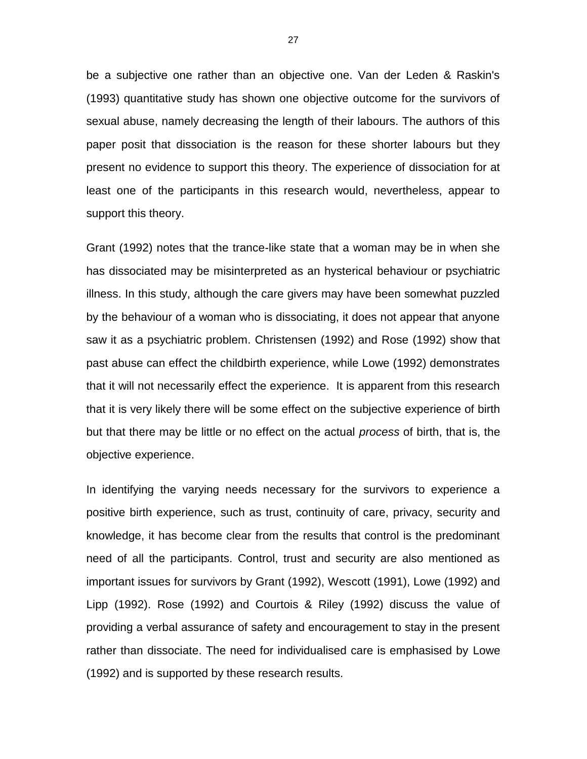be a subjective one rather than an objective one. Van der Leden & Raskin's (1993) quantitative study has shown one objective outcome for the survivors of sexual abuse, namely decreasing the length of their labours. The authors of this paper posit that dissociation is the reason for these shorter labours but they present no evidence to support this theory. The experience of dissociation for at least one of the participants in this research would, nevertheless, appear to support this theory.

Grant (1992) notes that the trance-like state that a woman may be in when she has dissociated may be misinterpreted as an hysterical behaviour or psychiatric illness. In this study, although the care givers may have been somewhat puzzled by the behaviour of a woman who is dissociating, it does not appear that anyone saw it as a psychiatric problem. Christensen (1992) and Rose (1992) show that past abuse can effect the childbirth experience, while Lowe (1992) demonstrates that it will not necessarily effect the experience. It is apparent from this research that it is very likely there will be some effect on the subjective experience of birth but that there may be little or no effect on the actual *process* of birth, that is, the objective experience.

In identifying the varying needs necessary for the survivors to experience a positive birth experience, such as trust, continuity of care, privacy, security and knowledge, it has become clear from the results that control is the predominant need of all the participants. Control, trust and security are also mentioned as important issues for survivors by Grant (1992), Wescott (1991), Lowe (1992) and Lipp (1992). Rose (1992) and Courtois & Riley (1992) discuss the value of providing a verbal assurance of safety and encouragement to stay in the present rather than dissociate. The need for individualised care is emphasised by Lowe (1992) and is supported by these research results.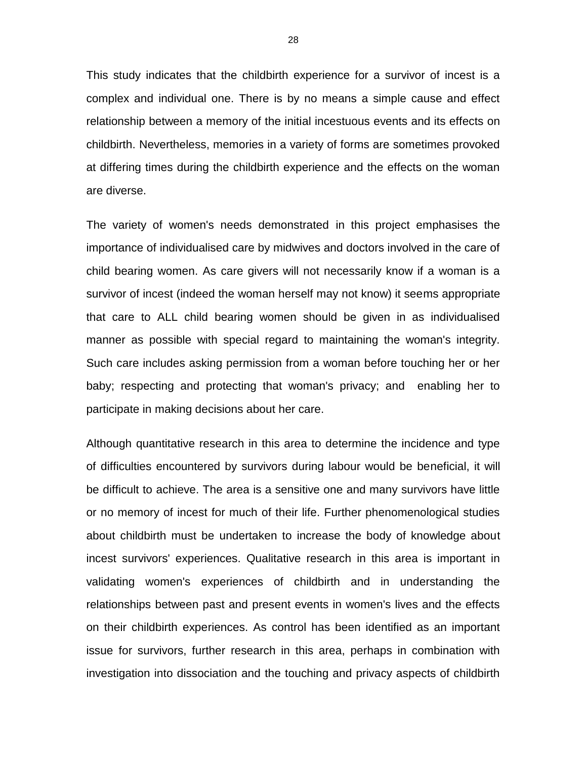This study indicates that the childbirth experience for a survivor of incest is a complex and individual one. There is by no means a simple cause and effect relationship between a memory of the initial incestuous events and its effects on childbirth. Nevertheless, memories in a variety of forms are sometimes provoked at differing times during the childbirth experience and the effects on the woman are diverse.

The variety of women's needs demonstrated in this project emphasises the importance of individualised care by midwives and doctors involved in the care of child bearing women. As care givers will not necessarily know if a woman is a survivor of incest (indeed the woman herself may not know) it seems appropriate that care to ALL child bearing women should be given in as individualised manner as possible with special regard to maintaining the woman's integrity. Such care includes asking permission from a woman before touching her or her baby; respecting and protecting that woman's privacy; and enabling her to participate in making decisions about her care.

Although quantitative research in this area to determine the incidence and type of difficulties encountered by survivors during labour would be beneficial, it will be difficult to achieve. The area is a sensitive one and many survivors have little or no memory of incest for much of their life. Further phenomenological studies about childbirth must be undertaken to increase the body of knowledge about incest survivors' experiences. Qualitative research in this area is important in validating women's experiences of childbirth and in understanding the relationships between past and present events in women's lives and the effects on their childbirth experiences. As control has been identified as an important issue for survivors, further research in this area, perhaps in combination with investigation into dissociation and the touching and privacy aspects of childbirth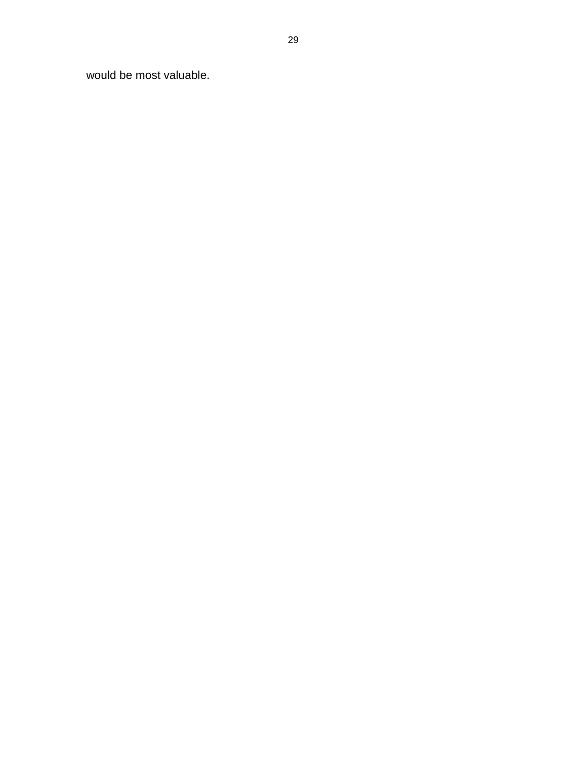would be most valuable.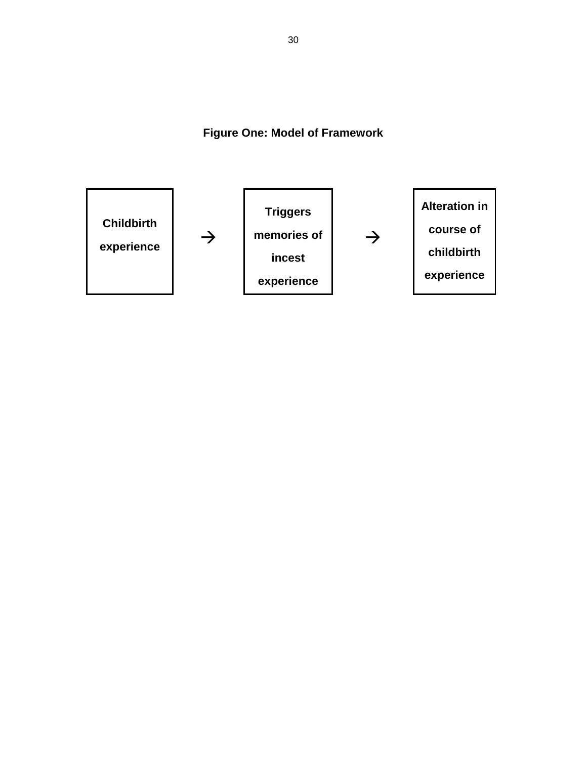**Figure One: Model of Framework**

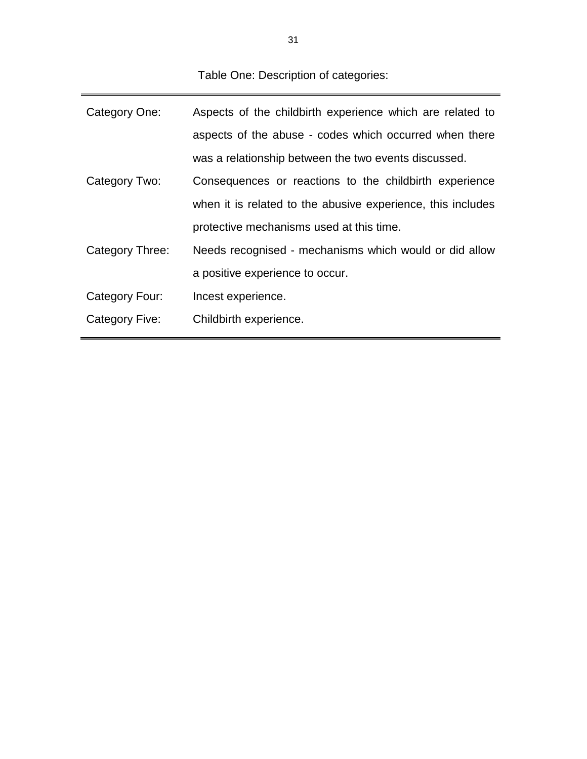Table One: Description of categories:

| Aspects of the childbirth experience which are related to   |  |  |
|-------------------------------------------------------------|--|--|
| aspects of the abuse - codes which occurred when there      |  |  |
| was a relationship between the two events discussed.        |  |  |
| Consequences or reactions to the childbirth experience      |  |  |
| when it is related to the abusive experience, this includes |  |  |
| protective mechanisms used at this time.                    |  |  |
| Needs recognised - mechanisms which would or did allow      |  |  |
| a positive experience to occur.                             |  |  |
| Incest experience.                                          |  |  |
| Childbirth experience.                                      |  |  |
|                                                             |  |  |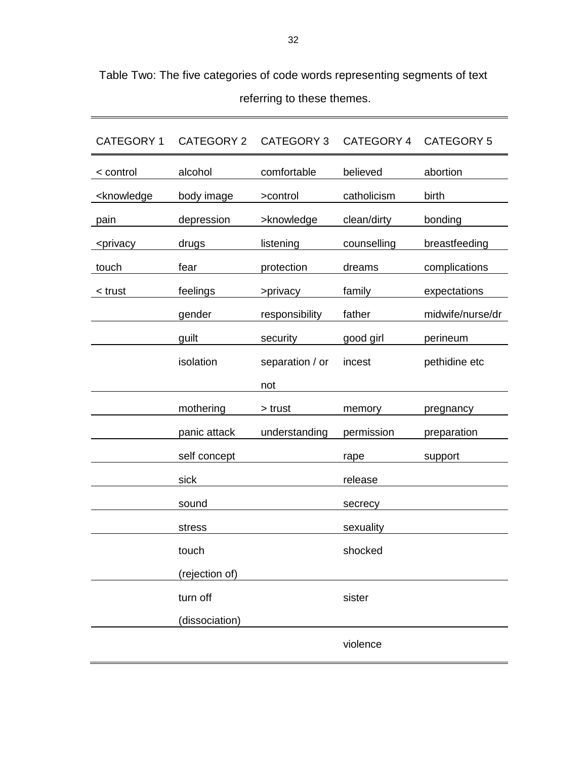| <b>CATEGORY 1</b>                                                                                        | <b>CATEGORY 2</b> | <b>CATEGORY 3</b> | CATEGORY 4  | <b>CATEGORY 5</b> |
|----------------------------------------------------------------------------------------------------------|-------------------|-------------------|-------------|-------------------|
| < control                                                                                                | alcohol           | comfortable       | believed    | abortion          |
| <knowledge< td=""><td>body image</td><td>&gt;control</td><td>catholicism</td><td>birth</td></knowledge<> | body image        | >control          | catholicism | birth             |
| pain                                                                                                     | depression        | >knowledge        | clean/dirty | bonding           |
| <privacy< td=""><td>drugs</td><td>listening</td><td>counselling</td><td>breastfeeding</td></privacy<>    | drugs             | listening         | counselling | breastfeeding     |
| touch                                                                                                    | fear              | protection        | dreams      | complications     |
| < trust                                                                                                  | feelings          | >privacy          | family      | expectations      |
|                                                                                                          | gender            | responsibility    | father      | midwife/nurse/dr  |
|                                                                                                          | guilt             | security          | good girl   | perineum          |
|                                                                                                          | isolation         | separation / or   | incest      | pethidine etc     |
|                                                                                                          |                   | not               |             |                   |
|                                                                                                          | mothering         | > trust           | memory      | pregnancy         |
|                                                                                                          | panic attack      | understanding     | permission  | preparation       |
|                                                                                                          | self concept      |                   | rape        | support           |
|                                                                                                          | sick              |                   | release     |                   |
|                                                                                                          | sound             |                   | secrecy     |                   |
|                                                                                                          | stress            |                   | sexuality   |                   |
|                                                                                                          | touch             |                   | shocked     |                   |
|                                                                                                          | (rejection of)    |                   |             |                   |
|                                                                                                          | turn off          |                   | sister      |                   |
|                                                                                                          | (dissociation)    |                   |             |                   |
|                                                                                                          |                   |                   | violence    |                   |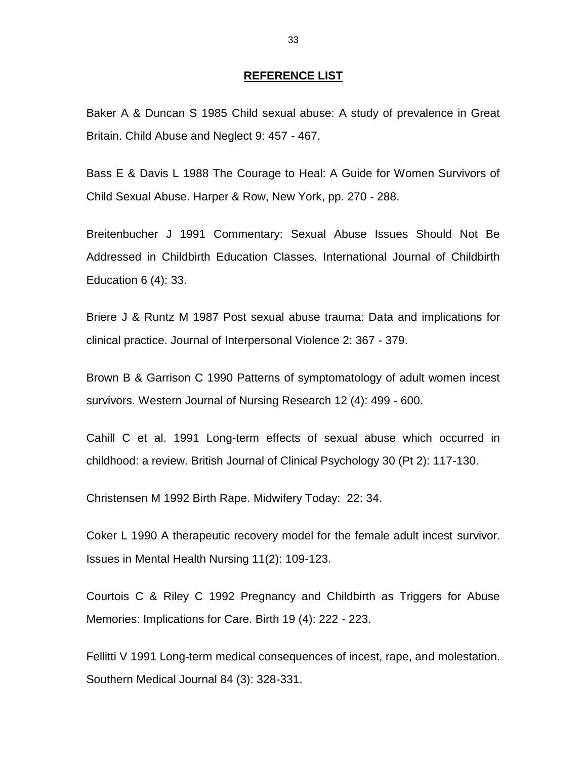#### **REFERENCE LIST**

Baker A & Duncan S 1985 Child sexual abuse: A study of prevalence in Great Britain. Child Abuse and Neglect 9: 457 - 467.

Bass E & Davis L 1988 The Courage to Heal: A Guide for Women Survivors of Child Sexual Abuse. Harper & Row, New York, pp. 270 - 288.

Breitenbucher J 1991 Commentary: Sexual Abuse Issues Should Not Be Addressed in Childbirth Education Classes. International Journal of Childbirth Education 6 (4): 33.

Briere J & Runtz M 1987 Post sexual abuse trauma: Data and implications for clinical practice. Journal of Interpersonal Violence 2: 367 - 379.

Brown B & Garrison C 1990 Patterns of symptomatology of adult women incest survivors. Western Journal of Nursing Research 12 (4): 499 - 600.

Cahill C et al. 1991 Long-term effects of sexual abuse which occurred in childhood: a review. British Journal of Clinical Psychology 30 (Pt 2): 117-130.

Christensen M 1992 Birth Rape. Midwifery Today: 22: 34.

Coker L 1990 A therapeutic recovery model for the female adult incest survivor. Issues in Mental Health Nursing 11(2): 109-123.

Courtois C & Riley C 1992 Pregnancy and Childbirth as Triggers for Abuse Memories: Implications for Care. Birth 19 (4): 222 - 223.

Fellitti V 1991 Long-term medical consequences of incest, rape, and molestation. Southern Medical Journal 84 (3): 328-331.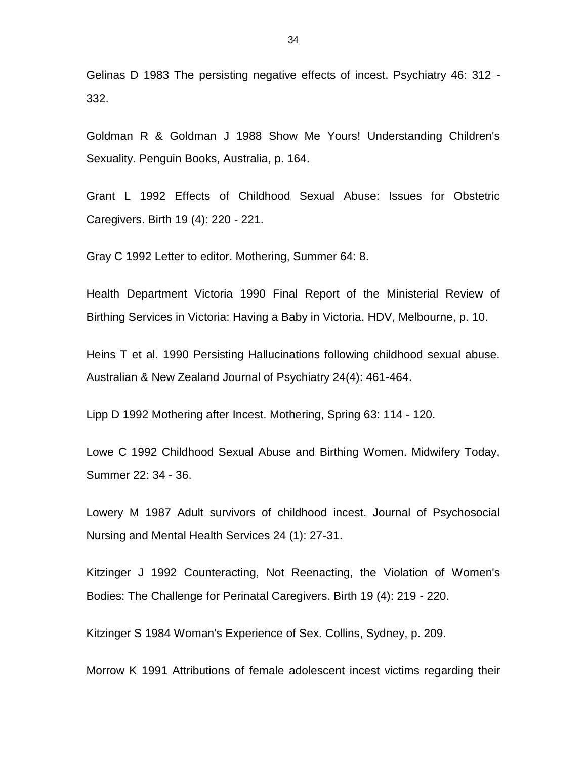Gelinas D 1983 The persisting negative effects of incest. Psychiatry 46: 312 - 332.

Goldman R & Goldman J 1988 Show Me Yours! Understanding Children's Sexuality. Penguin Books, Australia, p. 164.

Grant L 1992 Effects of Childhood Sexual Abuse: Issues for Obstetric Caregivers. Birth 19 (4): 220 - 221.

Gray C 1992 Letter to editor. Mothering, Summer 64: 8.

Health Department Victoria 1990 Final Report of the Ministerial Review of Birthing Services in Victoria: Having a Baby in Victoria. HDV, Melbourne, p. 10.

Heins T et al. 1990 Persisting Hallucinations following childhood sexual abuse. Australian & New Zealand Journal of Psychiatry 24(4): 461-464.

Lipp D 1992 Mothering after Incest. Mothering, Spring 63: 114 - 120.

Lowe C 1992 Childhood Sexual Abuse and Birthing Women. Midwifery Today, Summer 22: 34 - 36.

Lowery M 1987 Adult survivors of childhood incest. Journal of Psychosocial Nursing and Mental Health Services 24 (1): 27-31.

Kitzinger J 1992 Counteracting, Not Reenacting, the Violation of Women's Bodies: The Challenge for Perinatal Caregivers. Birth 19 (4): 219 - 220.

Kitzinger S 1984 Woman's Experience of Sex. Collins, Sydney, p. 209.

Morrow K 1991 Attributions of female adolescent incest victims regarding their